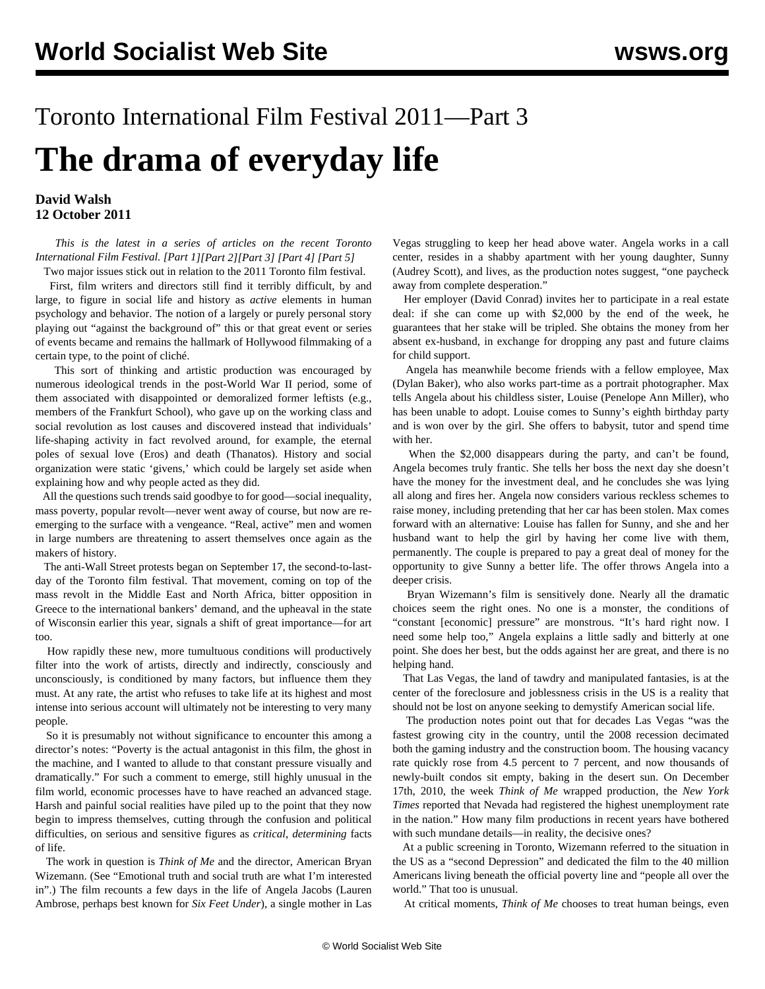## Toronto International Film Festival 2011—Part 3 **The drama of everyday life**

## **David Walsh 12 October 2011**

 *This is the latest in a series of articles on the recent Toronto International Film Festival. [\[Part 1](/en/articles/2011/sep2011/tff1-s30.shtml)][\[Part 2\]](/en/articles/2011/oct2011/tff2-o05.shtml)[[Part 3\]](/en/articles/2011/oct2011/tff3-o12.shtml) [[Part 4\]](/en/articles/2011/oct2011/tff4-o15.shtml) [[Part 5\]](/en/articles/2011/oct2011/tff5-o26.shtml)* Two major issues stick out in relation to the 2011 Toronto film festival.

 First, film writers and directors still find it terribly difficult, by and large, to figure in social life and history as *active* elements in human psychology and behavior. The notion of a largely or purely personal story playing out "against the background of" this or that great event or series of events became and remains the hallmark of Hollywood filmmaking of a certain type, to the point of cliché.

 This sort of thinking and artistic production was encouraged by numerous ideological trends in the post-World War II period, some of them associated with disappointed or demoralized former leftists (e.g., members of the Frankfurt School), who gave up on the working class and social revolution as lost causes and discovered instead that individuals' life-shaping activity in fact revolved around, for example, the eternal poles of sexual love (Eros) and death (Thanatos). History and social organization were static 'givens,' which could be largely set aside when explaining how and why people acted as they did.

 All the questions such trends said goodbye to for good—social inequality, mass poverty, popular revolt—never went away of course, but now are reemerging to the surface with a vengeance. "Real, active" men and women in large numbers are threatening to assert themselves once again as the makers of history.

 The anti-Wall Street protests began on September 17, the second-to-lastday of the Toronto film festival. That movement, coming on top of the mass revolt in the Middle East and North Africa, bitter opposition in Greece to the international bankers' demand, and the upheaval in the state of Wisconsin earlier this year, signals a shift of great importance—for art too.

 How rapidly these new, more tumultuous conditions will productively filter into the work of artists, directly and indirectly, consciously and unconsciously, is conditioned by many factors, but influence them they must. At any rate, the artist who refuses to take life at its highest and most intense into serious account will ultimately not be interesting to very many people.

 So it is presumably not without significance to encounter this among a director's notes: "Poverty is the actual antagonist in this film, the ghost in the machine, and I wanted to allude to that constant pressure visually and dramatically." For such a comment to emerge, still highly unusual in the film world, economic processes have to have reached an advanced stage. Harsh and painful social realities have piled up to the point that they now begin to impress themselves, cutting through the confusion and political difficulties, on serious and sensitive figures as *critical*, *determining* facts of life.

 The work in question is *Think of Me* and the director, American Bryan Wizemann. (See ["Emotional truth and social truth are what I'm interested](/en/articles/2011/oct2011/wize-o12.shtml) [in"](/en/articles/2011/oct2011/wize-o12.shtml).) The film recounts a few days in the life of Angela Jacobs (Lauren Ambrose, perhaps best known for *Six Feet Under*), a single mother in Las

Vegas struggling to keep her head above water. Angela works in a call center, resides in a shabby apartment with her young daughter, Sunny (Audrey Scott), and lives, as the production notes suggest, "one paycheck away from complete desperation."

 Her employer (David Conrad) invites her to participate in a real estate deal: if she can come up with \$2,000 by the end of the week, he guarantees that her stake will be tripled. She obtains the money from her absent ex-husband, in exchange for dropping any past and future claims for child support.

 Angela has meanwhile become friends with a fellow employee, Max (Dylan Baker), who also works part-time as a portrait photographer. Max tells Angela about his childless sister, Louise (Penelope Ann Miller), who has been unable to adopt. Louise comes to Sunny's eighth birthday party and is won over by the girl. She offers to babysit, tutor and spend time with her.

 When the \$2,000 disappears during the party, and can't be found, Angela becomes truly frantic. She tells her boss the next day she doesn't have the money for the investment deal, and he concludes she was lying all along and fires her. Angela now considers various reckless schemes to raise money, including pretending that her car has been stolen. Max comes forward with an alternative: Louise has fallen for Sunny, and she and her husband want to help the girl by having her come live with them, permanently. The couple is prepared to pay a great deal of money for the opportunity to give Sunny a better life. The offer throws Angela into a deeper crisis.

 Bryan Wizemann's film is sensitively done. Nearly all the dramatic choices seem the right ones. No one is a monster, the conditions of "constant [economic] pressure" are monstrous. "It's hard right now. I need some help too," Angela explains a little sadly and bitterly at one point. She does her best, but the odds against her are great, and there is no helping hand.

 That Las Vegas, the land of tawdry and manipulated fantasies, is at the center of the foreclosure and joblessness crisis in the US is a reality that should not be lost on anyone seeking to demystify American social life.

 The production notes point out that for decades Las Vegas "was the fastest growing city in the country, until the 2008 recession decimated both the gaming industry and the construction boom. The housing vacancy rate quickly rose from 4.5 percent to 7 percent, and now thousands of newly-built condos sit empty, baking in the desert sun. On December 17th, 2010, the week *Think of Me* wrapped production, the *New York Times* reported that Nevada had registered the highest unemployment rate in the nation." How many film productions in recent years have bothered with such mundane details—in reality, the decisive ones?

 At a public screening in Toronto, Wizemann referred to the situation in the US as a "second Depression" and dedicated the film to the 40 million Americans living beneath the official poverty line and "people all over the world." That too is unusual.

At critical moments, *Think of Me* chooses to treat human beings, even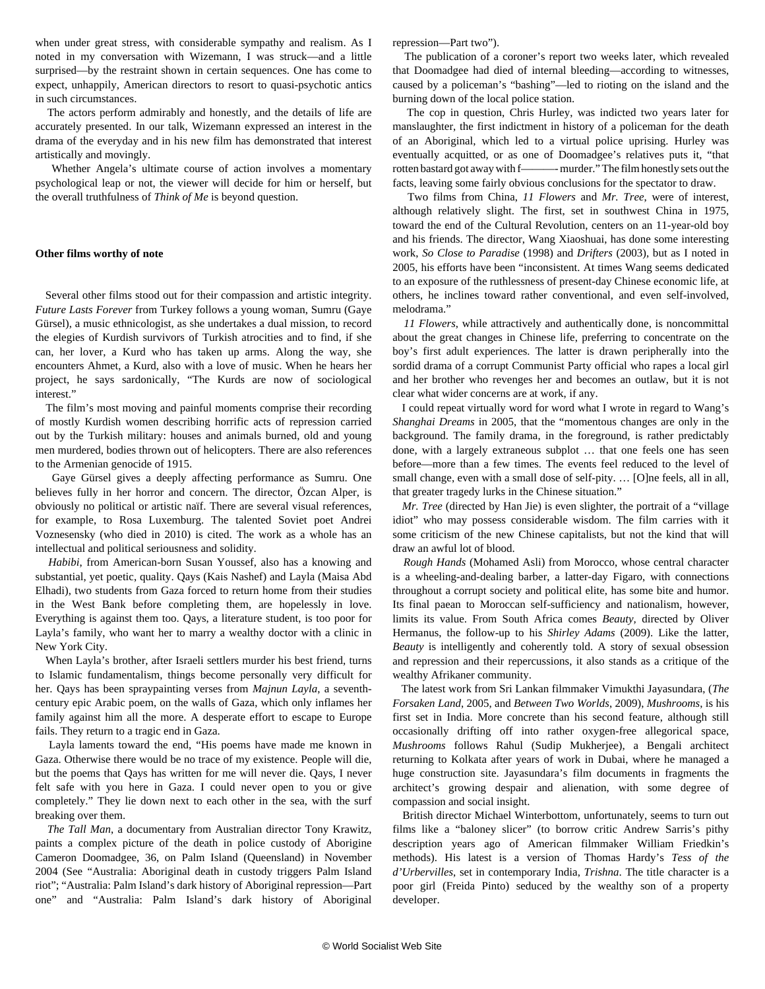when under great stress, with considerable sympathy and realism. As I noted in my conversation with Wizemann, I was struck—and a little surprised—by the restraint shown in certain sequences. One has come to expect, unhappily, American directors to resort to quasi-psychotic antics in such circumstances.

 The actors perform admirably and honestly, and the details of life are accurately presented. In our talk, Wizemann expressed an interest in the drama of the everyday and in his new film has demonstrated that interest artistically and movingly.

 Whether Angela's ultimate course of action involves a momentary psychological leap or not, the viewer will decide for him or herself, but the overall truthfulness of *Think of Me* is beyond question.

## **Other films worthy of note**

 Several other films stood out for their compassion and artistic integrity. *Future Lasts Forever* from Turkey follows a young woman, Sumru (Gaye Gürsel), a music ethnicologist, as she undertakes a dual mission, to record the elegies of Kurdish survivors of Turkish atrocities and to find, if she can, her lover, a Kurd who has taken up arms. Along the way, she encounters Ahmet, a Kurd, also with a love of music. When he hears her project, he says sardonically, "The Kurds are now of sociological interest."

 The film's most moving and painful moments comprise their recording of mostly Kurdish women describing horrific acts of repression carried out by the Turkish military: houses and animals burned, old and young men murdered, bodies thrown out of helicopters. There are also references to the Armenian genocide of 1915.

 Gaye Gürsel gives a deeply affecting performance as Sumru. One believes fully in her horror and concern. The director, Özcan Alper, is obviously no political or artistic naïf. There are several visual references, for example, to Rosa Luxemburg. The talented Soviet poet Andrei Voznesensky (who died in 2010) is cited. The work as a whole has an intellectual and political seriousness and solidity.

 *Habibi*, from American-born Susan Youssef, also has a knowing and substantial, yet poetic, quality. Qays (Kais Nashef) and Layla (Maisa Abd Elhadi), two students from Gaza forced to return home from their studies in the West Bank before completing them, are hopelessly in love. Everything is against them too. Qays, a literature student, is too poor for Layla's family, who want her to marry a wealthy doctor with a clinic in New York City.

 When Layla's brother, after Israeli settlers murder his best friend, turns to Islamic fundamentalism, things become personally very difficult for her. Qays has been spraypainting verses from *Majnun Layla*, a seventhcentury epic Arabic poem, on the walls of Gaza, which only inflames her family against him all the more. A desperate effort to escape to Europe fails. They return to a tragic end in Gaza.

 Layla laments toward the end, "His poems have made me known in Gaza. Otherwise there would be no trace of my existence. People will die, but the poems that Qays has written for me will never die. Qays, I never felt safe with you here in Gaza. I could never open to you or give completely." They lie down next to each other in the sea, with the surf breaking over them.

 *The Tall Man*, a documentary from Australian director Tony Krawitz, paints a complex picture of the death in police custody of Aborigine Cameron Doomadgee, 36, on Palm Island (Queensland) in November 2004 (See "[Australia: Aboriginal death in custody triggers Palm Island](/en/articles/2004/dec2004/palm-d03.shtml) [riot"](/en/articles/2004/dec2004/palm-d03.shtml); ["Australia: Palm Island's dark history of Aboriginal repression—Part](/en/articles/2005/mar2005/pal1-m01.shtml) [one](/en/articles/2005/mar2005/pal1-m01.shtml)" and "[Australia: Palm Island's dark history of Aboriginal](/en/articles/2005/mar2005/pal2-m02.shtml) [repression—Part two"](/en/articles/2005/mar2005/pal2-m02.shtml)).

 The publication of a coroner's report two weeks later, which revealed that Doomadgee had died of internal bleeding—according to witnesses, caused by a policeman's "bashing"—led to rioting on the island and the burning down of the local police station.

 The cop in question, Chris Hurley, was indicted two years later for manslaughter, the first indictment in history of a policeman for the death of an Aboriginal, which led to a virtual police uprising. Hurley was eventually acquitted, or as one of Doomadgee's relatives puts it, "that rotten bastard got away with f———- murder." The film honestly sets out the facts, leaving some fairly obvious conclusions for the spectator to draw.

 Two films from China, *11 Flowers* and *Mr. Tree*, were of interest, although relatively slight. The first, set in southwest China in 1975, toward the end of the Cultural Revolution, centers on an 11-year-old boy and his friends. The director, Wang Xiaoshuai, has done some interesting work, *So Close to Paradise* (1998) and *Drifters* (2003), but as I noted in 2005, his efforts have been "inconsistent. At times Wang seems dedicated to an exposure of the ruthlessness of present-day Chinese economic life, at others, he inclines toward rather conventional, and even self-involved, melodrama."

 *11 Flowers*, while attractively and authentically done, is noncommittal about the great changes in Chinese life, preferring to concentrate on the boy's first adult experiences. The latter is drawn peripherally into the sordid drama of a corrupt Communist Party official who rapes a local girl and her brother who revenges her and becomes an outlaw, but it is not clear what wider concerns are at work, if any.

 I could repeat virtually word for word what I wrote in regard to Wang's *Shanghai Dreams* in 2005, that the "momentous changes are only in the background. The family drama, in the foreground, is rather predictably done, with a largely extraneous subplot … that one feels one has seen before—more than a few times. The events feel reduced to the level of small change, even with a small dose of self-pity. … [O]ne feels, all in all, that greater tragedy lurks in the Chinese situation."

 *Mr. Tree* (directed by Han Jie) is even slighter, the portrait of a "village idiot" who may possess considerable wisdom. The film carries with it some criticism of the new Chinese capitalists, but not the kind that will draw an awful lot of blood.

 *Rough Hands* (Mohamed Asli) from Morocco, whose central character is a wheeling-and-dealing barber, a latter-day Figaro, with connections throughout a corrupt society and political elite, has some bite and humor. Its final paean to Moroccan self-sufficiency and nationalism, however, limits its value. From South Africa comes *Beauty,* directed by Oliver Hermanus, the follow-up to his *Shirley Adams* (2009). Like the latter, *Beauty* is intelligently and coherently told. A story of sexual obsession and repression and their repercussions, it also stands as a critique of the wealthy Afrikaner community.

 The latest work from Sri Lankan filmmaker Vimukthi Jayasundara, (*The Forsaken Land*, 2005, and *Between Two Worlds*, 2009), *Mushrooms*, is his first set in India. More concrete than his second feature, although still occasionally drifting off into rather oxygen-free allegorical space, *Mushrooms* follows Rahul (Sudip Mukherjee), a Bengali architect returning to Kolkata after years of work in Dubai, where he managed a huge construction site. Jayasundara's film documents in fragments the architect's growing despair and alienation, with some degree of compassion and social insight.

 British director Michael Winterbottom, unfortunately, seems to turn out films like a "baloney slicer" (to borrow critic Andrew Sarris's pithy description years ago of American filmmaker William Friedkin's methods). His latest is a version of Thomas Hardy's *Tess of the d'Urbervilles*, set in contemporary India, *Trishna*. The title character is a poor girl (Freida Pinto) seduced by the wealthy son of a property developer.